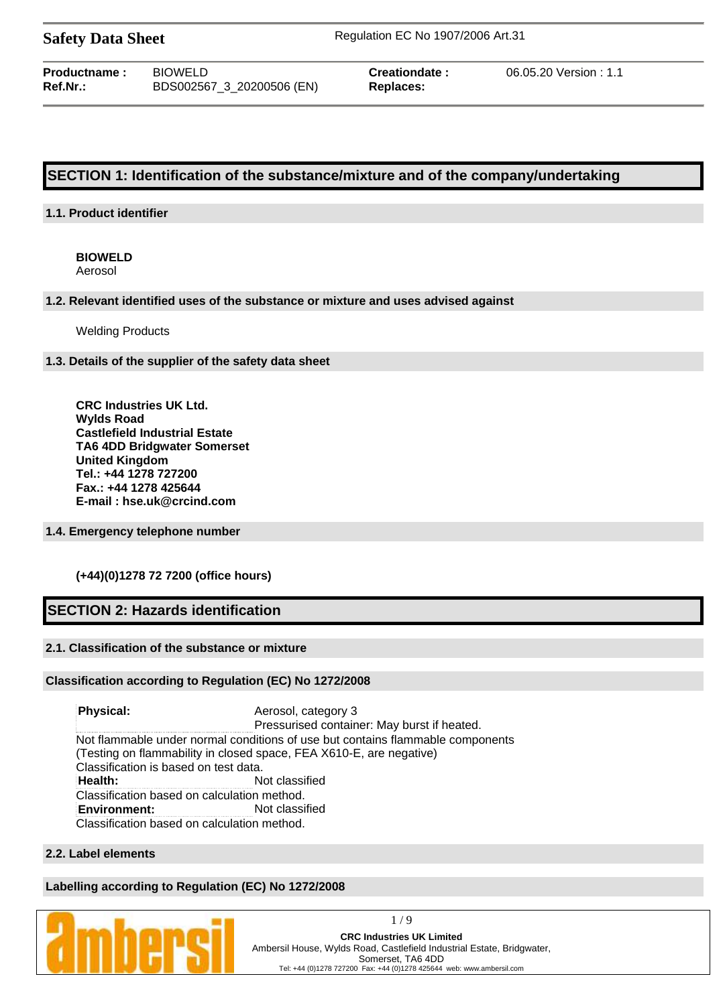**Safety Data Sheet** Regulation EC No 1907/2006 Art.31

| <b>Productname :</b> | <b>BIOWELD</b>            |
|----------------------|---------------------------|
| Ref.Nr.:             | BDS002567_3_20200506 (EN) |

 $Replaces:$ 

**Creationdate :** 06.05.20 Version : 1.1

# **SECTION 1: Identification of the substance/mixture and of the company/undertaking**

## **1.1. Product identifier**

# **BIOWELD**

Aerosol

### **1.2. Relevant identified uses of the substance or mixture and uses advised against**

Welding Products

### **1.3. Details of the supplier of the safety data sheet**

**CRC Industries UK Ltd. Wylds Road Castlefield Industrial Estate TA6 4DD Bridgwater Somerset United Kingdom Tel.: +44 1278 727200 Fax.: +44 1278 425644 E-mail : hse.uk@crcind.com**

## **1.4. Emergency telephone number**

## **(+44)(0)1278 72 7200 (office hours)**

# **SECTION 2: Hazards identification**

## **2.1. Classification of the substance or mixture**

## **Classification according to Regulation (EC) No 1272/2008**

**Physical:** Aerosol, category 3 Pressurised container: May burst if heated. Not flammable under normal conditions of use but contains flammable components (Testing on flammability in closed space, FEA X610-E, are negative) Classification is based on test data. **Health:** Not classified Classification based on calculation method. **Environment:** Not classified Classification based on calculation method.

## **2.2. Label elements**

## **Labelling according to Regulation (EC) No 1272/2008**

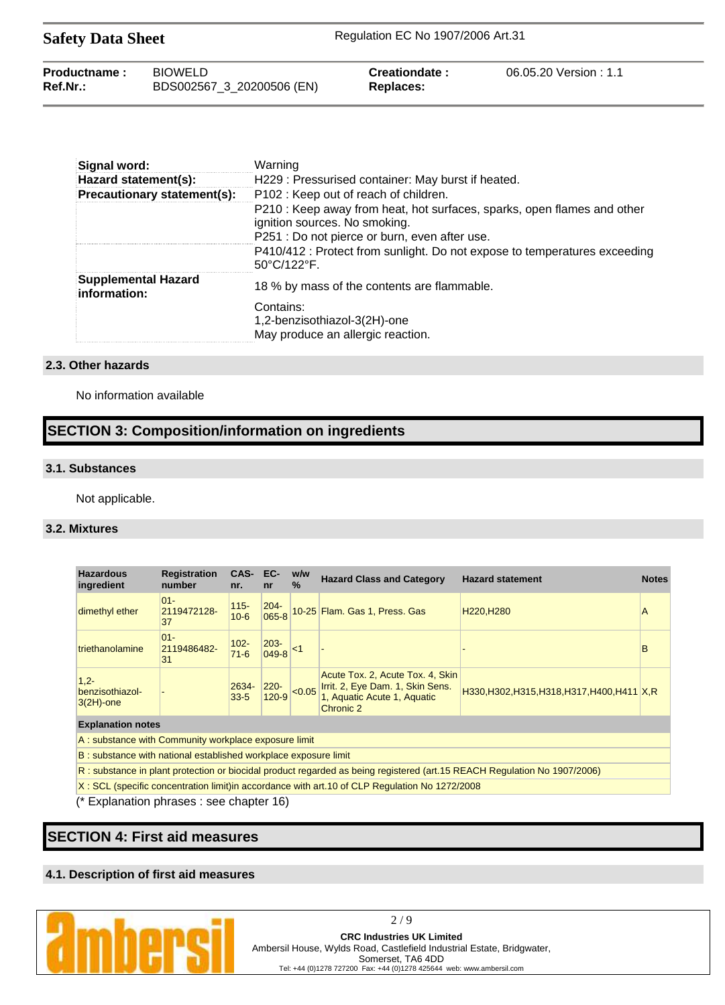| <b>Safety Data Sheet</b> |                                             | Regulation EC No 1907/2006 Art.31 |                       |  |
|--------------------------|---------------------------------------------|-----------------------------------|-----------------------|--|
| Productname:<br>Ref.Nr.: | <b>BIOWELD</b><br>BDS002567_3_20200506 (EN) | Creationdate:<br>Replaces:        | 06.05.20 Version: 1.1 |  |

| Signal word:                        | Warning                                                                                                                                                   |
|-------------------------------------|-----------------------------------------------------------------------------------------------------------------------------------------------------------|
| Hazard statement(s):                | H229 : Pressurised container: May burst if heated.                                                                                                        |
| Precautionary statement(s):         | P102 : Keep out of reach of children.                                                                                                                     |
|                                     | P210 : Keep away from heat, hot surfaces, sparks, open flames and other<br>ignition sources. No smoking.<br>P251 : Do not pierce or burn, even after use. |
|                                     | P410/412 : Protect from sunlight. Do not expose to temperatures exceeding<br>$50^{\circ}$ C/122 $^{\circ}$ F.                                             |
| Supplemental Hazard<br>information: | 18 % by mass of the contents are flammable.                                                                                                               |
|                                     | Contains:<br>1,2-benzisothiazol-3(2H)-one<br>May produce an allergic reaction.                                                                            |

### **2.3. Other hazards**

No information available

# **SECTION 3: Composition/information on ingredients**

### **3.1. Substances**

Not applicable.

### **3.2. Mixtures**

| <b>Hazardous</b><br>ingredient                                                                                           | <b>Registration</b><br>number | CAS-<br>nr.         | EC-<br>nr            | w/w<br>$\frac{9}{6}$ | <b>Hazard Class and Category</b>                                                                                 | <b>Hazard statement</b>                       | <b>Notes</b> |
|--------------------------------------------------------------------------------------------------------------------------|-------------------------------|---------------------|----------------------|----------------------|------------------------------------------------------------------------------------------------------------------|-----------------------------------------------|--------------|
| dimethyl ether                                                                                                           | $01 -$<br>2119472128-<br>37   | $115 -$<br>$10 - 6$ | $204 -$<br>065-8     |                      | 10-25 Flam. Gas 1, Press. Gas                                                                                    | H <sub>220</sub> , H <sub>280</sub>           | Α            |
| triethanolamine                                                                                                          | $01 -$<br>2119486482-<br>31   | $102 -$<br>$71 - 6$ | $203 -$<br>049-8     | ∣<1                  |                                                                                                                  |                                               | B            |
| $1.2 -$<br>benzisothiazol-<br>$3(2H)$ -one                                                                               |                               | 2634-<br>$33 - 5$   | $220 -$<br>$120 - 9$ | < 0.05               | Acute Tox. 2, Acute Tox. 4, Skin<br>Irrit. 2, Eye Dam. 1, Skin Sens.<br>1, Aquatic Acute 1, Aquatic<br>Chronic 2 | H330, H302, H315, H318, H317, H400, H411 X, R |              |
| <b>Explanation notes</b>                                                                                                 |                               |                     |                      |                      |                                                                                                                  |                                               |              |
| A: substance with Community workplace exposure limit                                                                     |                               |                     |                      |                      |                                                                                                                  |                                               |              |
| B: substance with national established workplace exposure limit                                                          |                               |                     |                      |                      |                                                                                                                  |                                               |              |
| R: substance in plant protection or biocidal product regarded as being registered (art.15 REACH Regulation No 1907/2006) |                               |                     |                      |                      |                                                                                                                  |                                               |              |

X : SCL (specific concentration limit)in accordance with art.10 of CLP Regulation No 1272/2008

(\* Explanation phrases : see chapter 16)

**SECTION 4: First aid measures**

## **4.1. Description of first aid measures**

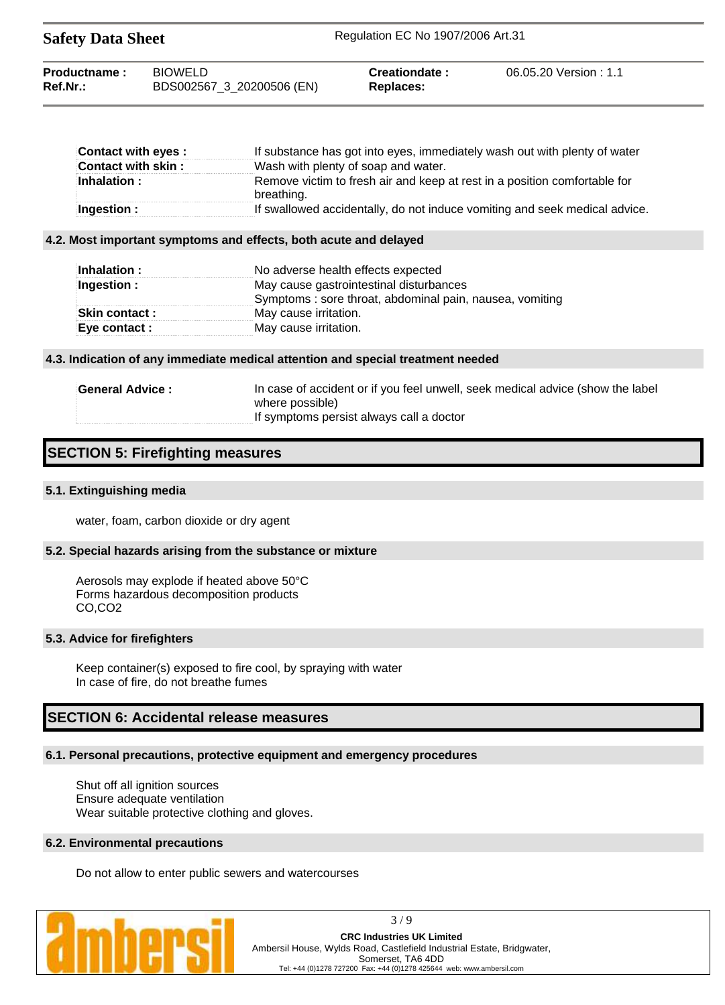| <b>Safety Data Sheet</b>    |                                             | Regulation EC No 1907/2006 Art.31 |                        |  |
|-----------------------------|---------------------------------------------|-----------------------------------|------------------------|--|
| Productname:<br>$Ref.Nr.$ : | <b>BIOWELD</b><br>BDS002567_3_20200506 (EN) | Creationdate:<br>Replaces:        | 06.05.20 Version : 1.1 |  |

| Contact with eyes : | If substance has got into eyes, immediately wash out with plenty of water               |
|---------------------|-----------------------------------------------------------------------------------------|
| Contact with skin : | Wash with plenty of soap and water.                                                     |
| Inhalation:         | Remove victim to fresh air and keep at rest in a position comfortable for<br>breathing. |
| Ingestion :         | If swallowed accidentally, do not induce vomiting and seek medical advice.              |

#### **4.2. Most important symptoms and effects, both acute and delayed**

| Inhalation :         | No adverse health effects expected                      |
|----------------------|---------------------------------------------------------|
| Ingestion :          | May cause gastrointestinal disturbances                 |
|                      | Symptoms: sore throat, abdominal pain, nausea, vomiting |
| <b>Skin contact:</b> | May cause irritation.                                   |
| Eye contact :        | May cause irritation.                                   |

### **4.3. Indication of any immediate medical attention and special treatment needed**

| <b>General Advice :</b> | In case of accident or if you feel unwell, seek medical advice (show the label |
|-------------------------|--------------------------------------------------------------------------------|
|                         | where possible)                                                                |
|                         | If symptoms persist always call a doctor                                       |

# **SECTION 5: Firefighting measures**

### **5.1. Extinguishing media**

water, foam, carbon dioxide or dry agent

#### **5.2. Special hazards arising from the substance or mixture**

Aerosols may explode if heated above 50°C Forms hazardous decomposition products CO,CO2

### **5.3. Advice for firefighters**

Keep container(s) exposed to fire cool, by spraying with water In case of fire, do not breathe fumes

# **SECTION 6: Accidental release measures**

## **6.1. Personal precautions, protective equipment and emergency procedures**

Shut off all ignition sources Ensure adequate ventilation Wear suitable protective clothing and gloves.

## **6.2. Environmental precautions**

Do not allow to enter public sewers and watercourses



3 / 9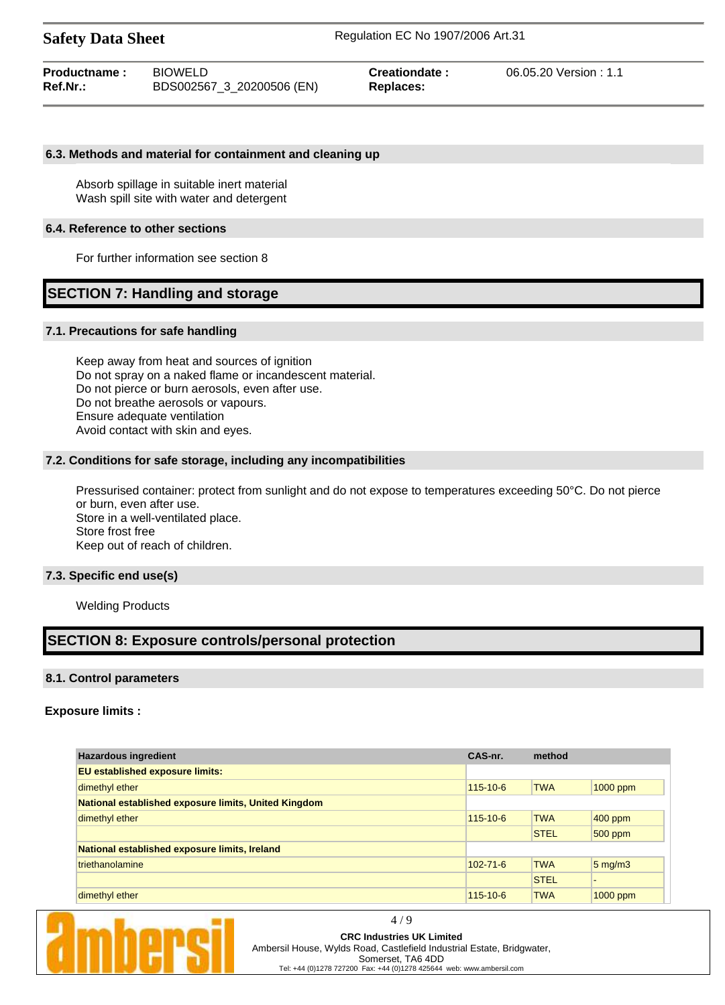| Productname: | <b>BIOWELD</b>            | Creationdate: | 06.05.20 Version: 1.1 |
|--------------|---------------------------|---------------|-----------------------|
| Ref.Nr.:     | BDS002567_3_20200506 (EN) | Replaces:     |                       |

### **6.3. Methods and material for containment and cleaning up**

Absorb spillage in suitable inert material Wash spill site with water and detergent

### **6.4. Reference to other sections**

For further information see section 8

# **SECTION 7: Handling and storage**

#### **7.1. Precautions for safe handling**

Keep away from heat and sources of ignition Do not spray on a naked flame or incandescent material. Do not pierce or burn aerosols, even after use. Do not breathe aerosols or vapours. Ensure adequate ventilation Avoid contact with skin and eyes.

#### **7.2. Conditions for safe storage, including any incompatibilities**

Pressurised container: protect from sunlight and do not expose to temperatures exceeding 50°C. Do not pierce or burn, even after use. Store in a well-ventilated place. Store frost free Keep out of reach of children.

#### **7.3. Specific end use(s)**

Welding Products

# **SECTION 8: Exposure controls/personal protection**

### **8.1. Control parameters**

### **Exposure limits :**

| <b>Hazardous ingredient</b>                          |                | method      |                  |
|------------------------------------------------------|----------------|-------------|------------------|
| <b>EU</b> established exposure limits:               |                |             |                  |
| dimethyl ether                                       | $115 - 10 - 6$ | <b>TWA</b>  | $1000$ ppm       |
| National established exposure limits, United Kingdom |                |             |                  |
| dimethyl ether                                       | $115 - 10 - 6$ | <b>TWA</b>  | $400$ ppm        |
|                                                      |                | <b>STEL</b> | $500$ ppm        |
| National established exposure limits, Ireland        |                |             |                  |
| triethanolamine                                      | $102 - 71 - 6$ | <b>TWA</b>  | $5 \text{ mg/m}$ |
|                                                      |                | <b>STEL</b> |                  |
| dimethyl ether                                       | $115 - 10 - 6$ | <b>TWA</b>  | 1000 ppm         |

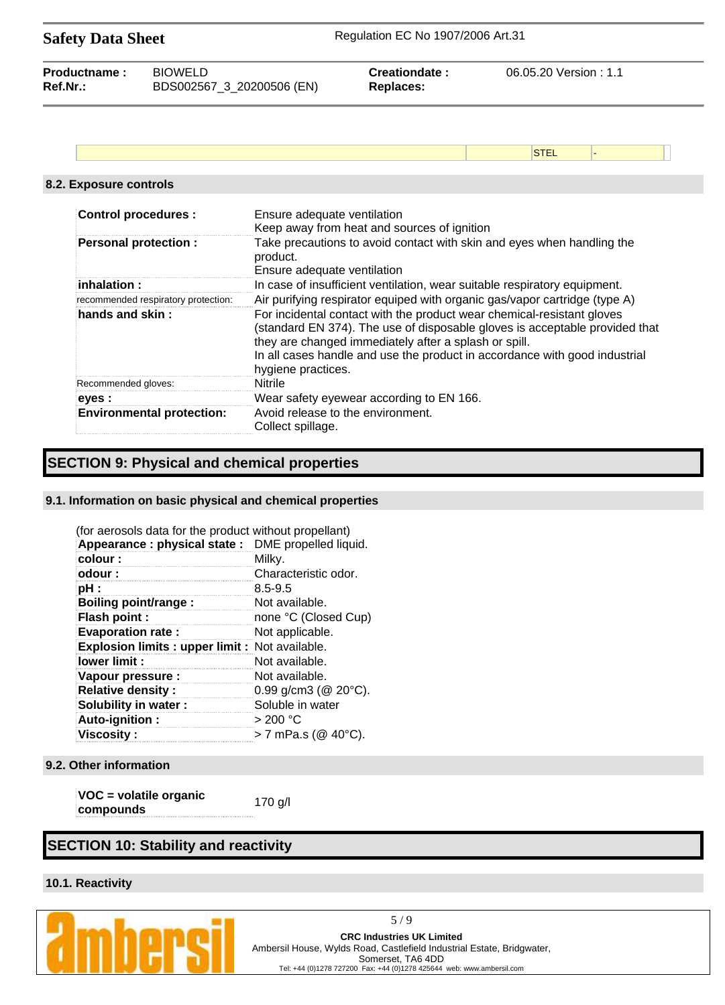| <b>Safety Data Sheet</b> |                                     |                                         | Regulation EC No 1907/2006 Art.31                                                                                                                                                                                                                                                            |                       |  |
|--------------------------|-------------------------------------|-----------------------------------------|----------------------------------------------------------------------------------------------------------------------------------------------------------------------------------------------------------------------------------------------------------------------------------------------|-----------------------|--|
| Productname:<br>Ref.Nr.: | <b>BIOWELD</b>                      | BDS002567_3_20200506 (EN)               | Creationdate:<br><b>Replaces:</b>                                                                                                                                                                                                                                                            | 06.05.20 Version: 1.1 |  |
|                          |                                     |                                         |                                                                                                                                                                                                                                                                                              |                       |  |
|                          |                                     |                                         |                                                                                                                                                                                                                                                                                              | <b>STEL</b>           |  |
|                          | 8.2. Exposure controls              |                                         |                                                                                                                                                                                                                                                                                              |                       |  |
|                          | <b>Control procedures:</b>          | Ensure adequate ventilation             | Keep away from heat and sources of ignition                                                                                                                                                                                                                                                  |                       |  |
|                          | <b>Personal protection:</b>         | product.<br>Ensure adequate ventilation | Take precautions to avoid contact with skin and eyes when handling the                                                                                                                                                                                                                       |                       |  |
|                          | inhalation:                         |                                         | In case of insufficient ventilation, wear suitable respiratory equipment.                                                                                                                                                                                                                    |                       |  |
|                          | recommended respiratory protection: |                                         | Air purifying respirator equiped with organic gas/vapor cartridge (type A)                                                                                                                                                                                                                   |                       |  |
| hands and skin:          |                                     | hygiene practices.                      | For incidental contact with the product wear chemical-resistant gloves<br>(standard EN 374). The use of disposable gloves is acceptable provided that<br>they are changed immediately after a splash or spill.<br>In all cases handle and use the product in accordance with good industrial |                       |  |
|                          | Recommended gloves:                 | <b>Nitrile</b>                          |                                                                                                                                                                                                                                                                                              |                       |  |
|                          | eyes :                              |                                         | Wear safety eyewear according to EN 166.                                                                                                                                                                                                                                                     |                       |  |

# **SECTION 9: Physical and chemical properties**

## **9.1. Information on basic physical and chemical properties**

**Environmental protection:** Avoid release to the environment.

Collect spillage.

| (for aerosols data for the product without propellant) |                             |
|--------------------------------------------------------|-----------------------------|
| Appearance: physical state: DME propelled liquid.      |                             |
| colour:                                                | Milky.                      |
| odour :                                                | Characteristic odor.        |
| pH :                                                   | $8.5 - 9.5$                 |
| Boiling point/range:                                   | Not available.              |
| <b>Flash point:</b>                                    | none °C (Closed Cup)        |
| <b>Evaporation rate:</b>                               | Not applicable.             |
| <b>Explosion limits: upper limit: Not available.</b>   |                             |
| lower limit :                                          | Not available.              |
| Vapour pressure :                                      | Not available.              |
| <b>Relative density:</b>                               | 0.99 g/cm3 ( $@$ 20 $°C$ ). |
| Solubility in water:                                   | Soluble in water            |
| Auto-ignition:                                         | $>$ 200 °C                  |
| <b>Viscosity:</b>                                      | > 7 mPa.s (@ 40°C).         |

## **9.2. Other information**

**VOC = volatile organic compounds**<br>**compounds** 170 g/l

# **SECTION 10: Stability and reactivity**

# **10.1. Reactivity**



5 / 9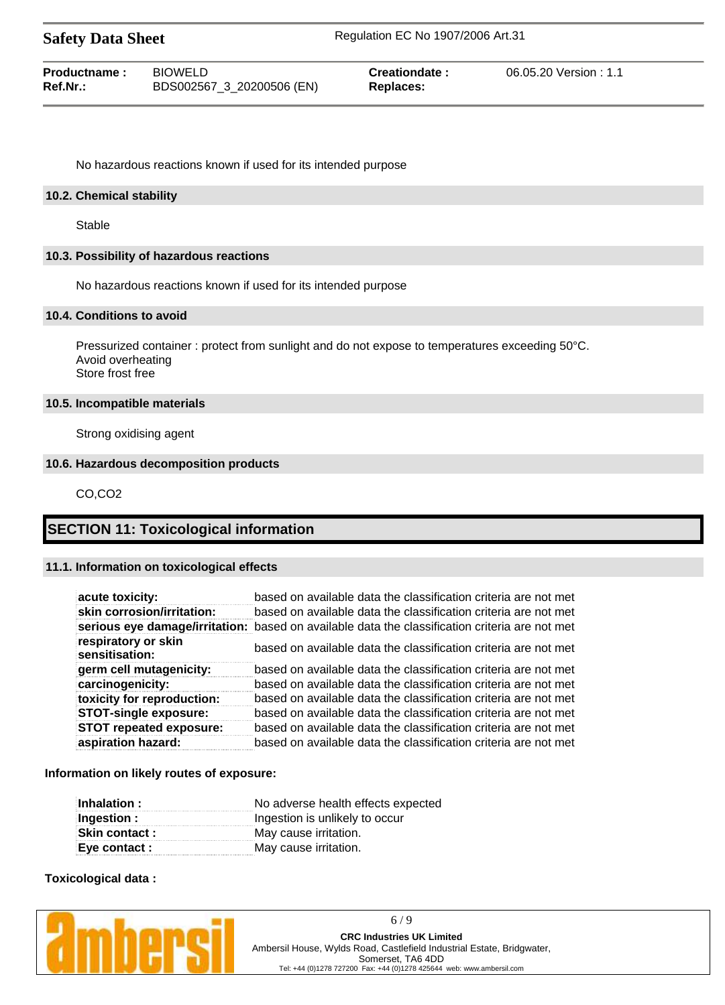| <b>Safety Data Sheet</b>    |                                             | Regulation EC No 1907/2006 Art.31 |                       |  |
|-----------------------------|---------------------------------------------|-----------------------------------|-----------------------|--|
| Productname:<br>$Ref.Nr.$ : | <b>BIOWELD</b><br>BDS002567_3_20200506 (EN) | Creationdate:<br>Replaces:        | 06.05.20 Version: 1.1 |  |

No hazardous reactions known if used for its intended purpose

### **10.2. Chemical stability**

Stable

### **10.3. Possibility of hazardous reactions**

No hazardous reactions known if used for its intended purpose

## **10.4. Conditions to avoid**

Pressurized container : protect from sunlight and do not expose to temperatures exceeding 50°C. Avoid overheating Store frost free

#### **10.5. Incompatible materials**

Strong oxidising agent

# **10.6. Hazardous decomposition products**

CO,CO2

# **SECTION 11: Toxicological information**

### **11.1. Information on toxicological effects**

| acute toxicity:                       | based on available data the classification criteria are not met                                |
|---------------------------------------|------------------------------------------------------------------------------------------------|
| skin corrosion/irritation:            | based on available data the classification criteria are not met                                |
|                                       | serious eye damage/irritation: based on available data the classification criteria are not met |
| respiratory or skin<br>sensitisation: | based on available data the classification criteria are not met                                |
| germ cell mutagenicity:               | based on available data the classification criteria are not met                                |
| carcinogenicity:                      | based on available data the classification criteria are not met                                |
| toxicity for reproduction:            | based on available data the classification criteria are not met                                |
| <b>STOT-single exposure:</b>          | based on available data the classification criteria are not met                                |
| <b>STOT repeated exposure:</b>        | based on available data the classification criteria are not met                                |
| aspiration hazard:                    | based on available data the classification criteria are not met                                |

#### **Information on likely routes of exposure:**

| Inhalation :          | No adverse health effects expected |  |
|-----------------------|------------------------------------|--|
| Ingestion :           | Ingestion is unlikely to occur     |  |
| <b>Skin contact :</b> | May cause irritation.              |  |
| Eye contact :         | May cause irritation.              |  |

### **Toxicological data :**

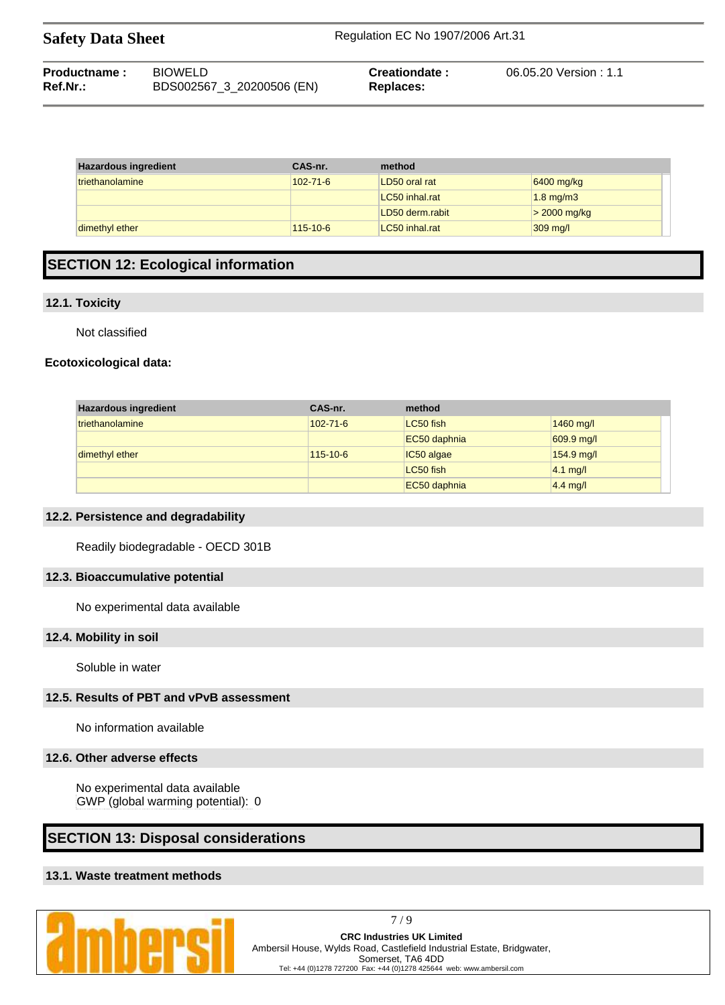| <b>Safety Data Sheet</b> |                | Regulation EC No 1907/2006 Art.31 |                       |  |
|--------------------------|----------------|-----------------------------------|-----------------------|--|
| Productname:             | <b>BIOWELD</b> | Creationdate:                     | 06.05.20 Version: 1.1 |  |

| Ref.Nr.: | BDS002567_3_20200506 (EN) | Replaces: |
|----------|---------------------------|-----------|
|          |                           |           |

| <b>Hazardous ingredient</b> | CAS-nr.        | method          |                    |
|-----------------------------|----------------|-----------------|--------------------|
| triethanolamine             | $102 - 71 - 6$ | LD50 oral rat   | 6400 mg/kg         |
|                             |                | LC50 inhal.rat  | $1.8$ mg/m $3$     |
|                             |                | LD50 derm.rabit | $>$ 2000 mg/kg     |
| dimethyl ether              | $115 - 10 - 6$ | LC50 inhal.rat  | $309 \text{ mg/l}$ |

# **SECTION 12: Ecological information**

## **12.1. Toxicity**

÷

Not classified

# **Ecotoxicological data:**

| <b>Hazardous ingredient</b> | CAS-nr.        | method       |              |
|-----------------------------|----------------|--------------|--------------|
| triethanolamine             | $102 - 71 - 6$ | LC50 fish    | 1460 mg/l    |
|                             |                | EC50 daphnia | $609.9$ mg/l |
| dimethyl ether              | $115 - 10 - 6$ | IC50 algae   | 154.9 mg/l   |
|                             |                | LC50 fish    | $4.1$ mg/l   |
|                             |                | EC50 daphnia | $4.4$ mg/l   |

## **12.2. Persistence and degradability**

Readily biodegradable - OECD 301B

# **12.3. Bioaccumulative potential**

No experimental data available

# **12.4. Mobility in soil**

Soluble in water

# **12.5. Results of PBT and vPvB assessment**

No information available

## **12.6. Other adverse effects**

No experimental data available GWP (global warming potential): 0

# **SECTION 13: Disposal considerations**

# **13.1. Waste treatment methods**

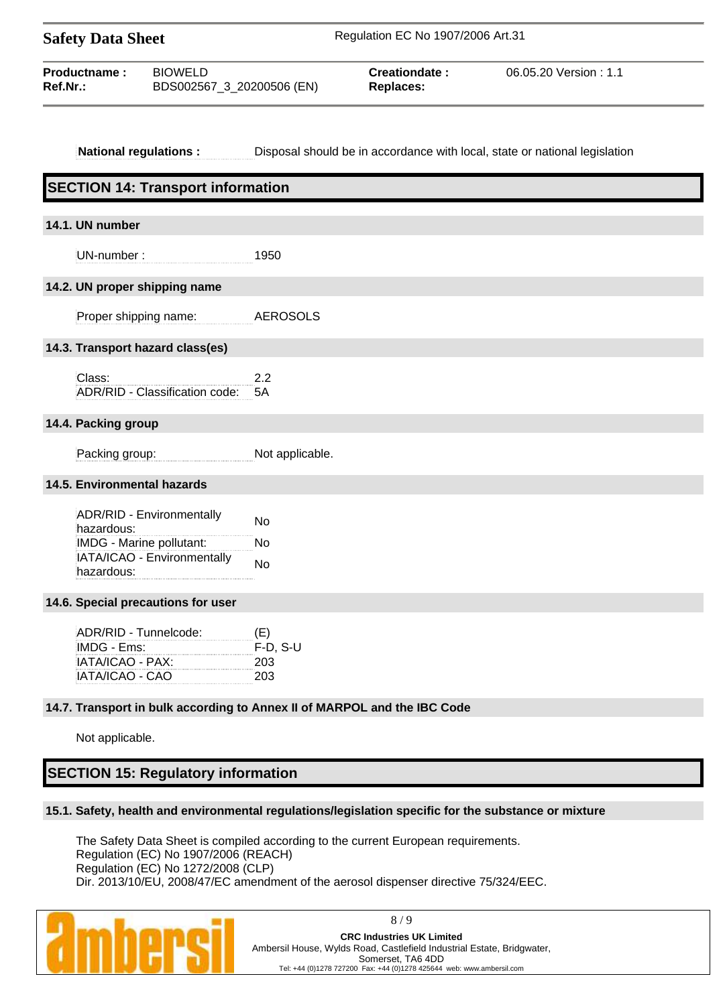| <b>Safety Data Sheet</b> |                                             | Regulation EC No 1907/2006 Art.31 |                       |  |
|--------------------------|---------------------------------------------|-----------------------------------|-----------------------|--|
| Productname:<br>Ref.Nr.: | <b>BIOWELD</b><br>BDS002567 3 20200506 (EN) | Creationdate:<br><b>Replaces:</b> | 06.05.20 Version: 1.1 |  |

### **National regulations :** Disposal should be in accordance with local, state or national legislation

| <b>SECTION 14: Transport information</b>                                                                         |                                                                          |
|------------------------------------------------------------------------------------------------------------------|--------------------------------------------------------------------------|
| 14.1. UN number                                                                                                  |                                                                          |
| UN-number:                                                                                                       | 1950                                                                     |
| 14.2. UN proper shipping name                                                                                    |                                                                          |
| Proper shipping name:                                                                                            | <b>AEROSOLS</b>                                                          |
| 14.3. Transport hazard class(es)                                                                                 |                                                                          |
| Class:<br>ADR/RID - Classification code:                                                                         | 2.2<br>5A                                                                |
| 14.4. Packing group                                                                                              |                                                                          |
| Packing group:                                                                                                   | Not applicable.                                                          |
| 14.5. Environmental hazards                                                                                      |                                                                          |
| ADR/RID - Environmentally<br>hazardous:<br>IMDG - Marine pollutant:<br>IATA/ICAO - Environmentally<br>hazardous: | <b>No</b><br><b>No</b><br><b>No</b>                                      |
| 14.6. Special precautions for user                                                                               |                                                                          |
| ADR/RID - Tunnelcode:<br>IMDG - Ems:<br>IATA/ICAO - PAX:<br>IATA/ICAO - CAO                                      | (E)<br>$F-D, S-U$<br>203<br>203                                          |
|                                                                                                                  | 14.7. Transport in bulk according to Annex II of MARPOL and the IBC Code |
| Not applicable.                                                                                                  |                                                                          |

# **SECTION 15: Regulatory information**

### **15.1. Safety, health and environmental regulations/legislation specific for the substance or mixture**

The Safety Data Sheet is compiled according to the current European requirements. Regulation (EC) No 1907/2006 (REACH) Regulation (EC) No 1272/2008 (CLP) Dir. 2013/10/EU, 2008/47/EC amendment of the aerosol dispenser directive 75/324/EEC.